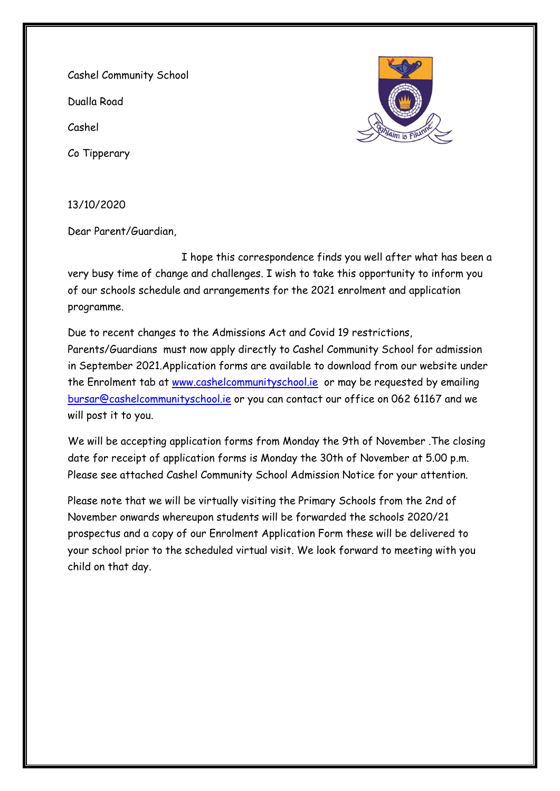Cashel Community School

Dualla Road

Cashel

Co Tipperary



13/10/2020

Dear Parent/Guardian,

 I hope this correspondence finds you well after what has been a very busy time of change and challenges. I wish to take this opportunity to inform you of our schools schedule and arrangements for the 2021 enrolment and application programme.

Due to recent changes to the Admissions Act and Covid 19 restrictions, Parents/Guardians must now apply directly to Cashel Community School for admission in September 2021.Application forms are available to download from our website under the Enrolment tab at [www.cashelcommunityschool.ie](http://www.cashelcommunityschool.ie/) or may be requested by emailing [bursar@cashelcommunityschool.ie](mailto:bursar@cashelcommunityschool.ie) or you can contact our office on 062 61167 and we will post it to you.

We will be accepting application forms from Monday the 9th of November .The closing date for receipt of application forms is Monday the 30th of November at 5.00 p.m. Please see attached Cashel Community School Admission Notice for your attention.

Please note that we will be virtually visiting the Primary Schools from the 2nd of November onwards whereupon students will be forwarded the schools 2020/21 prospectus and a copy of our Enrolment Application Form these will be delivered to your school prior to the scheduled virtual visit. We look forward to meeting with you child on that day.